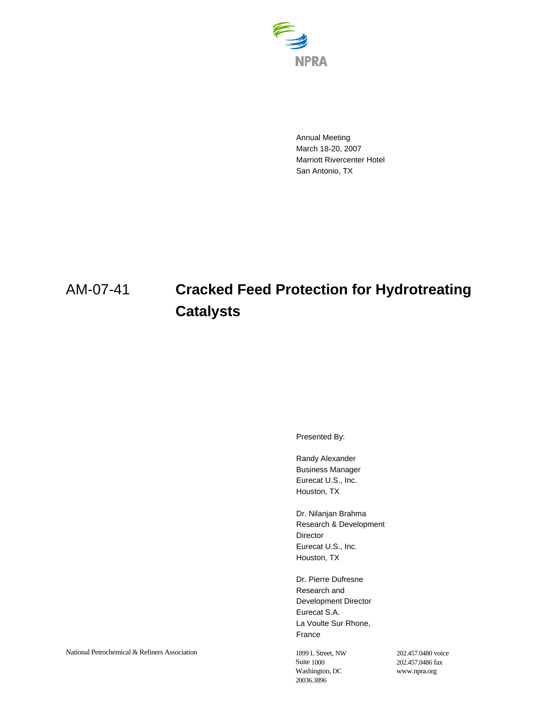

Annual Meeting March 18-20, 2007 Marriott Rivercenter Hotel San Antonio, TX

## AM-07-41 **Cracked Feed Protection for Hydrotreating Catalysts**

Presented By:

Randy Alexander Business Manager Eurecat U.S., Inc. Houston, TX

Dr. Nilanjan Brahma Research & Development Director Eurecat U.S., Inc. Houston, TX

Dr. Pierre Dufresne Research and Development Director Eurecat S.A. La Voulte Sur Rhone, France

Suite 1000 Washington, DC 20036.3896

202.457.0480 voice 202.457.0486 fax www.npra.org

National Petrochemical & Refiners Association 1899 L Street, NW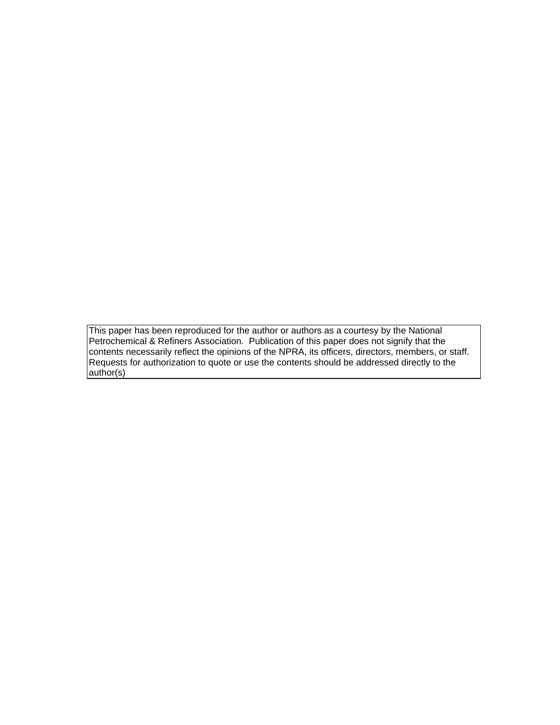This paper has been reproduced for the author or authors as a courtesy by the National Petrochemical & Refiners Association. Publication of this paper does not signify that the contents necessarily reflect the opinions of the NPRA, its officers, directors, members, or staff. Requests for authorization to quote or use the contents should be addressed directly to the author(s)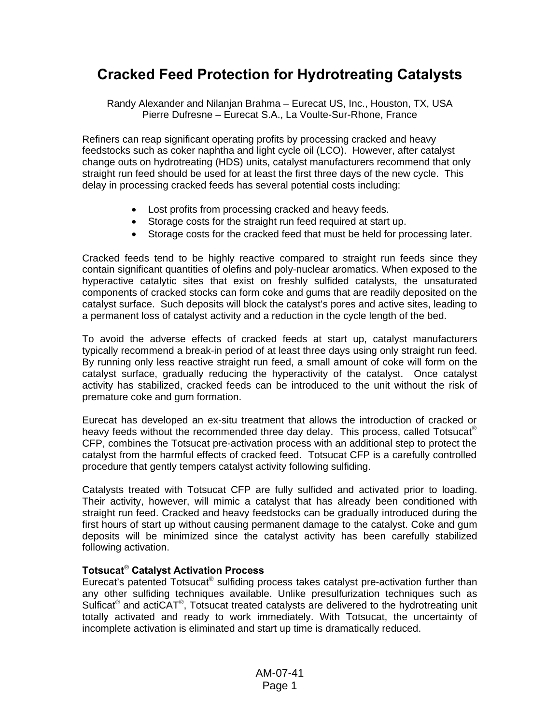## **Cracked Feed Protection for Hydrotreating Catalysts**

Randy Alexander and Nilanjan Brahma – Eurecat US, Inc., Houston, TX, USA Pierre Dufresne – Eurecat S.A., La Voulte-Sur-Rhone, France

Refiners can reap significant operating profits by processing cracked and heavy feedstocks such as coker naphtha and light cycle oil (LCO). However, after catalyst change outs on hydrotreating (HDS) units, catalyst manufacturers recommend that only straight run feed should be used for at least the first three days of the new cycle. This delay in processing cracked feeds has several potential costs including:

- Lost profits from processing cracked and heavy feeds.
- Storage costs for the straight run feed required at start up.
- Storage costs for the cracked feed that must be held for processing later.

Cracked feeds tend to be highly reactive compared to straight run feeds since they contain significant quantities of olefins and poly-nuclear aromatics. When exposed to the hyperactive catalytic sites that exist on freshly sulfided catalysts, the unsaturated components of cracked stocks can form coke and gums that are readily deposited on the catalyst surface. Such deposits will block the catalyst's pores and active sites, leading to a permanent loss of catalyst activity and a reduction in the cycle length of the bed.

To avoid the adverse effects of cracked feeds at start up, catalyst manufacturers typically recommend a break-in period of at least three days using only straight run feed. By running only less reactive straight run feed, a small amount of coke will form on the catalyst surface, gradually reducing the hyperactivity of the catalyst. Once catalyst activity has stabilized, cracked feeds can be introduced to the unit without the risk of premature coke and gum formation.

Eurecat has developed an ex-situ treatment that allows the introduction of cracked or heavy feeds without the recommended three day delay. This process, called Totsucat<sup>®</sup> CFP, combines the Totsucat pre-activation process with an additional step to protect the catalyst from the harmful effects of cracked feed. Totsucat CFP is a carefully controlled procedure that gently tempers catalyst activity following sulfiding.

Catalysts treated with Totsucat CFP are fully sulfided and activated prior to loading. Their activity, however, will mimic a catalyst that has already been conditioned with straight run feed. Cracked and heavy feedstocks can be gradually introduced during the first hours of start up without causing permanent damage to the catalyst. Coke and gum deposits will be minimized since the catalyst activity has been carefully stabilized following activation.

## **Totsucat**® **Catalyst Activation Process**

Eurecat's patented Totsucat® sulfiding process takes catalyst pre-activation further than any other sulfiding techniques available. Unlike presulfurization techniques such as Sulficat<sup>®</sup> and actiCAT<sup>®</sup>, Totsucat treated catalysts are delivered to the hydrotreating unit totally activated and ready to work immediately. With Totsucat, the uncertainty of incomplete activation is eliminated and start up time is dramatically reduced.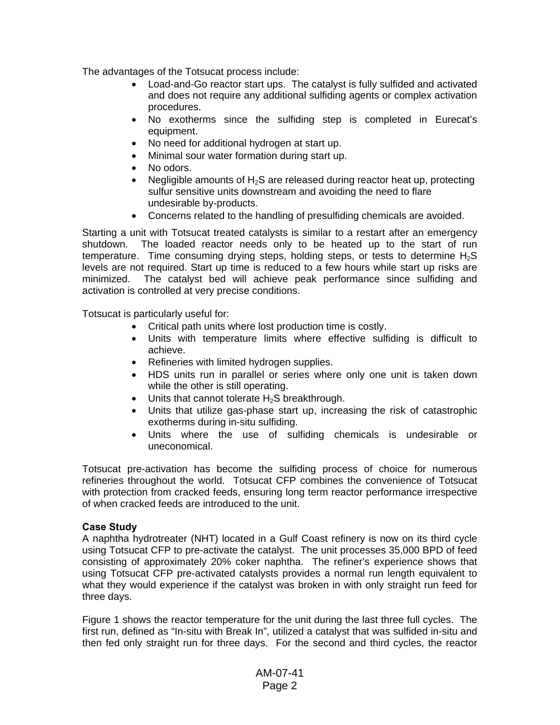The advantages of the Totsucat process include:

- Load-and-Go reactor start ups. The catalyst is fully sulfided and activated and does not require any additional sulfiding agents or complex activation procedures.
- No exotherms since the sulfiding step is completed in Eurecat's equipment.
- No need for additional hydrogen at start up.
- Minimal sour water formation during start up.
- No odors.
- Negligible amounts of  $H_2S$  are released during reactor heat up, protecting sulfur sensitive units downstream and avoiding the need to flare undesirable by-products.
- Concerns related to the handling of presulfiding chemicals are avoided.

Starting a unit with Totsucat treated catalysts is similar to a restart after an emergency shutdown. The loaded reactor needs only to be heated up to the start of run temperature. Time consuming drying steps, holding steps, or tests to determine  $H_2S$ levels are not required. Start up time is reduced to a few hours while start up risks are minimized. The catalyst bed will achieve peak performance since sulfiding and activation is controlled at very precise conditions.

Totsucat is particularly useful for:

- Critical path units where lost production time is costly.
- Units with temperature limits where effective sulfiding is difficult to achieve.
- Refineries with limited hydrogen supplies.
- HDS units run in parallel or series where only one unit is taken down while the other is still operating.
- Units that cannot tolerate  $H_2S$  breakthrough.
- Units that utilize gas-phase start up, increasing the risk of catastrophic exotherms during in-situ sulfiding.
- Units where the use of sulfiding chemicals is undesirable or uneconomical.

Totsucat pre-activation has become the sulfiding process of choice for numerous refineries throughout the world. Totsucat CFP combines the convenience of Totsucat with protection from cracked feeds, ensuring long term reactor performance irrespective of when cracked feeds are introduced to the unit.

## **Case Study**

A naphtha hydrotreater (NHT) located in a Gulf Coast refinery is now on its third cycle using Totsucat CFP to pre-activate the catalyst. The unit processes 35,000 BPD of feed consisting of approximately 20% coker naphtha. The refiner's experience shows that using Totsucat CFP pre-activated catalysts provides a normal run length equivalent to what they would experience if the catalyst was broken in with only straight run feed for three days.

Figure 1 shows the reactor temperature for the unit during the last three full cycles. The first run, defined as "In-situ with Break In", utilized a catalyst that was sulfided in-situ and then fed only straight run for three days. For the second and third cycles, the reactor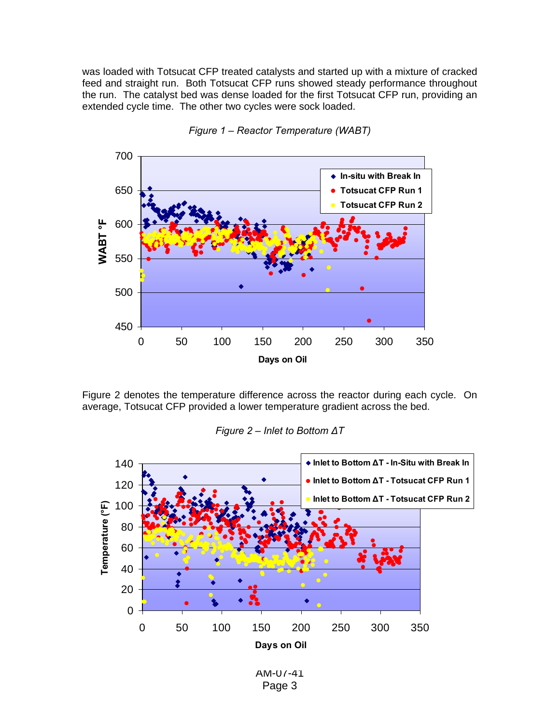was loaded with Totsucat CFP treated catalysts and started up with a mixture of cracked feed and straight run. Both Totsucat CFP runs showed steady performance throughout the run. The catalyst bed was dense loaded for the first Totsucat CFP run, providing an extended cycle time. The other two cycles were sock loaded.



*Figure 1 – Reactor Temperature (WABT)* 

Figure 2 denotes the temperature difference across the reactor during each cycle. On average, Totsucat CFP provided a lower temperature gradient across the bed.



*Figure 2 – Inlet to Bottom ΔT* 

AM-07-41 Page 3